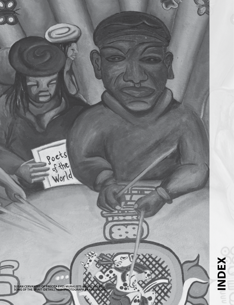**SUSAN CERVANTES OF PRECITA EYES MURALISTS AND STUDENTS, SONG OF THE SPIRIT (DETAIL), 1999 (PHOTOGRAPH BY KATIE LOUX)**

Poets<br>Sithe<br>World

Ø

 $\subset$ 

**index**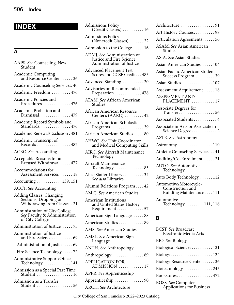# <span id="page-1-0"></span>**INDEX**

# **A**

| AAPS. See Counseling, New<br>Student                                                                        |
|-------------------------------------------------------------------------------------------------------------|
| <b>Academic Computing</b><br>and Resource Center36                                                          |
| Academic Counseling Services. 40                                                                            |
| Academic Freedom 476                                                                                        |
| Academic Policies and<br>Procedures 476                                                                     |
| Academic Probation and<br>Dismissal479                                                                      |
| Academic Record Symbols and<br>Standards476                                                                 |
| Academic Renewal/Exclusion . 481                                                                            |
| Academic Transcript of<br>Records 482                                                                       |
| ACBO. See Accounting                                                                                        |
| Acceptable Reasons for an<br>Excused Withdrawal 477                                                         |
| Accommodations for<br>Assessment Services  18                                                               |
| Accounting 139, 151                                                                                         |
| <b>ACCT.</b> See Accounting                                                                                 |
| Adding Classes, Changing<br>ang States of Terping<br>Sections, Dropping or<br>Withdrawing from Classes . 21 |
| Administration of City College.<br>See Faculty & Administration<br>of City College                          |
| Administration of Justice 75                                                                                |
| <b>Administration of Justice</b><br>and Fire Science69                                                      |
| Administration of Justice 69                                                                                |
| Fire Science Technology72                                                                                   |
| Administrative Support/Office<br>$Technology \ldots \ldots \ldots \ldots 141$                               |
| Admission as a Special Part Time<br>Student<br>. . 16<br>.                                                  |
| Admission as a Transfer<br>Student 56                                                                       |

| Admissions Policy<br>(Credit Classes) 16                                                       |
|------------------------------------------------------------------------------------------------|
| <b>Admissions Policy</b><br>(Noncredit Classes)22                                              |
| Admission to the College  16                                                                   |
| ADMJ. See Administration of<br>Justice and Fire Science:<br>Administration of Justice          |
| <b>Advanced Placement Test</b><br>Scores and CCSF Credit. 485                                  |
| Advanced Standing 20                                                                           |
| Advisories on Recommended<br>Preparation478                                                    |
| AFAM. See African American<br>Studies                                                          |
| African American Resource<br>Center's (AARC) 42                                                |
| African American Scholastic<br>Programs39                                                      |
| African American Studies80                                                                     |
| AHWC. See Unit Coordinator<br>and Medical Computing Skills                                     |
| AIRC. See Aircraft Maintenance<br>Technology                                                   |
|                                                                                                |
| Aircraft Maintenance<br>Technology85                                                           |
| Alice Statler Library 34<br>See also Libraries                                                 |
| Alumni Relations Program42                                                                     |
| AM C. See American Studies                                                                     |
| <b>American Institutions</b><br>erican Insurations<br>and United States History<br>Requirement |
| American Sign Language 88                                                                      |
| American Studies 89                                                                            |
| AMS. See American Studies                                                                      |
| AMSL. See American Sign<br>Language                                                            |
| ANTH. See Anthropology                                                                         |
| Anthropology 89                                                                                |
| <b>APPLICATION FOR</b><br>ADMISSION 17                                                         |
| APPR. See Apprenticeship                                                                       |
| Apprenticeship 90                                                                              |

## **B**

| <b>BCST.</b> See Broadcast<br>Electronic Media Arts     |
|---------------------------------------------------------|
| BIO. See Biology                                        |
| Biological Sciences 121                                 |
| $\text{Biology} \ldots \ldots \ldots \ldots \ldots 124$ |
| Biology Resource Center36                               |
| Biotechnology245                                        |
| Bookstores472                                           |
| BOSS. See Computer<br>Applications for Business         |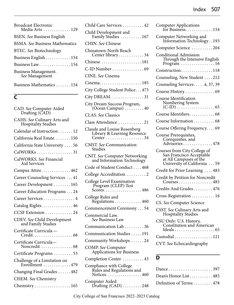<span id="page-2-0"></span>

| <b>Broadcast Electronic</b><br>Media Arts 129 |
|-----------------------------------------------|
| <b>BSEN.</b> See Business English             |
| <b>BSMA.</b> See Business Mathematics         |
| BTEC. See Biotechnology                       |
| Business English 154                          |
| Business Law154                               |
| Business Management.<br>See Management        |
| Business Mathematics 154                      |

# **C**

| CAD. See Computer Aided<br>Drafting (CAD)          |
|----------------------------------------------------|
| CAHS. See Culinary Arts and<br>Hospitality Studies |
| Calendar of Instruction 12                         |
| California Real Estate150                          |
| California State University 56                     |
| CalWORKs 31                                        |
| CalWORKS. See Financial<br><b>Aid Services</b>     |
| Campus Attire462                                   |
| Career Counseling Services 41                      |
| Career Development  165                            |
| Career Education Programs 24                       |
| Career Services 4                                  |
| Catalog Rights. 46                                 |
| CCSF Extension 24                                  |
| CDEV. See Child Development<br>and Family Studies  |
|                                                    |
| Certificate Curricula-<br>Noncredit 68             |
| Certificate Programs 53                            |
| Challenge of a Limitation on<br>Enrollment  479    |
| Changing Final Grades 482                          |
| CHEM. See Chemistry                                |
| Chemistry 165                                      |

| Child Care Services  42                                                                               |
|-------------------------------------------------------------------------------------------------------|
| Child Development and<br>Family Studies  167                                                          |
| CHIN. See Chinese                                                                                     |
| Chinatown-North Beach<br>Center library34                                                             |
| Chinese 181                                                                                           |
| C-ID Number 69                                                                                        |
| CINE. See Cinema                                                                                      |
|                                                                                                       |
| City College Student Police473                                                                        |
| City DREAM. 31                                                                                        |
| City Dream Success Program,<br>(Ocean Campus)  40                                                     |
| <b>CLAS.</b> See Classics                                                                             |
| Class Attendance 21                                                                                   |
| Claude and Louise Rosenberg<br>Library & Learning Resource<br>Center 34                               |
| CMST. See Communication<br>Studies                                                                    |
| <b>CNIT.</b> See Computer Networking<br>and Information Technology                                    |
| Code of Student Conduct468                                                                            |
| College Accreditation 2                                                                               |
| College Level Examination<br>Program (CLEP) Test<br>$\ldots \ldots 486$<br>$Scores.$                  |
| College Rules and<br>Regulations460                                                                   |
| Commencement Ceremony 54                                                                              |
| Commercial Law.<br>See Business Law                                                                   |
| Communication Lab 36                                                                                  |
| Communication Studies  191                                                                            |
| Community Workshops 24                                                                                |
| COMP. See Computer<br><b>Applications for Business</b>                                                |
| Completion Center  43                                                                                 |
| Compliance with College<br>Rules and Regulations and<br>Notices. $\ldots$ . $\ldots$ . $\ldots$ . 460 |
| Computer Aided<br>Drafting $(CAD)$ 248                                                                |

| <b>Computer Applications</b><br>$\ldots \ldots 154$<br>for Business                                               |
|-------------------------------------------------------------------------------------------------------------------|
| Computer Networking and<br>Information Technology. . 193                                                          |
| Computer Science 204                                                                                              |
| <b>Conditional Admission</b><br>Through the Intensive English                                                     |
| Construction118                                                                                                   |
| Counseling, New Student 212                                                                                       |
| Counseling Services 4, 37, 39                                                                                     |
| Course History 69                                                                                                 |
| <b>Course Identification</b>                                                                                      |
| Course Identifiers68                                                                                              |
| Course Information 68                                                                                             |
| Course Offering Frequency69                                                                                       |
| Course Prerequisites,<br>Corequisites, and<br>Advisories  478                                                     |
| Courses from City College of<br>San Francisco Acceptable<br>at All Campuses of the<br>University of California 59 |
| Credit for Prior Learning  483                                                                                    |
| Credit by Petition for Noncredit<br>$\text{Courses}\dots\dots\dots\dots\dots\dots\ 485$                           |
| Credits And Grades  476                                                                                           |
| Cross-Registration  16                                                                                            |
| CS. See Computer Science                                                                                          |
| CSST. See Culinary Arts and<br><b>Hospitality Studies</b>                                                         |
| CSU Only: U.S. History,<br>Constitution and American                                                              |
| Custodial 121                                                                                                     |
| CVT. See Echocardiography                                                                                         |

## **D**

| Dance397                |  |
|-------------------------|--|
| Dean's Honor List 485   |  |
| Definition of Terms 478 |  |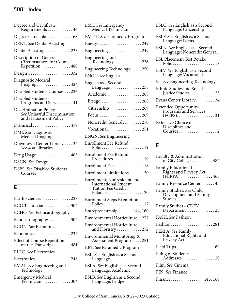### <span id="page-3-0"></span>508 Index

| Degree and Certificate                                                         |
|--------------------------------------------------------------------------------|
| Requirements 46                                                                |
| Degree Curricula 68                                                            |
| <b>DENT.</b> See Dental Assisting                                              |
| Dental Assisting 223                                                           |
| Description of General<br>Circumstances for Course<br>Repetition 480           |
| Design 332                                                                     |
| Diagnostic Medical<br>Imaging424                                               |
| Disabled Students Courses 226                                                  |
| Disabled Students<br>Programs and Services 41                                  |
| Discrimination Policy.<br>See Unlawful Discrimination<br>and Harassment Policy |
| Dismissal479                                                                   |
| DMI. See Diagnostic<br>Medical Imaging                                         |
| Downtown Center Library 34<br>See also Libraries                               |
| Drug Usage 463                                                                 |
| <b>DSGN.</b> See Design                                                        |
| <b>DSPS.</b> See Disabled Students<br>Courses                                  |

# **E**

| Earth Sciences228                                    |
|------------------------------------------------------|
| ECG Technician 304                                   |
| ECHO. See Echocardiography                           |
| Echocardiography 302                                 |
| <b>ECON.</b> See Economics                           |
| Economics234                                         |
| Effect of Course Repetition<br>on the Transcript 481 |
| ELEC. See Electronics                                |
| Electronics248                                       |
| EMAP. See Engineering and<br>Technology              |
| Emergency Medical<br>Technician304                   |

| EMT. See Emergency<br>Medical Technician                                                        |
|-------------------------------------------------------------------------------------------------|
| EMT-P. See Paramedic Program                                                                    |
| Energy 249                                                                                      |
| Engineering249                                                                                  |
| Engineering and<br>Technology 236                                                               |
| Engineering Technology 250                                                                      |
| ENGL. See English                                                                               |
| English as a Second<br>Language258                                                              |
| Academic 268                                                                                    |
| Bridge 268                                                                                      |
| Citizenship 269                                                                                 |
|                                                                                                 |
| Noncredit General270                                                                            |
| Vocational271                                                                                   |
| <b>ENGN.</b> See Engineering                                                                    |
| Enrollment Fee Refund<br>Policy19                                                               |
| Enrollment Fee Refund<br>Procedures  19                                                         |
| Enrollment Fees  18                                                                             |
| Enrollment Limitations 20                                                                       |
| Enrollment, Nonresident and<br><b>International Student</b><br>Tuition Fee Credit<br>Balances20 |
| <b>Enrollment Steps Exemption</b><br>$Policy \dots \dots$<br>. . 17                             |
| Entrepreneurship 144, 160                                                                       |
| Environmental Horticulture277                                                                   |
| Environmental Horticulture<br>and Floristry272                                                  |
| Environmental Monitoring &<br>Assessment Program251                                             |
| ERT. See Paramedic Program                                                                      |
| ESL. See English as a Second<br>Language                                                        |
| ESLA. See English as a Second<br>Language: Academic                                             |
| ESLB. See English as a Second<br>Language: Bridge                                               |

| ESLC. See English as a Second<br>Language: Citizenship                             |
|------------------------------------------------------------------------------------|
| ESLF. See English as a Second<br>Language: Focus                                   |
| ESLN. See English as a Second<br>Language: Noncredit General                       |
| <b>ESL Placement Test Retake</b><br>$Policy \ldots \ldots \ldots \ldots \ldots 18$ |
| ESLV. See English as a Second<br>Language: Vocational                              |
| ET. See Engineering Technology                                                     |
| Ethnic Studies and Social<br>Justice Studies25                                     |
| Evans Center Library34                                                             |
| <b>Extended Opportunity</b><br>Programs and Services                               |
| <b>Extensive Choice of</b><br>Disciplines and<br>Courses<br>. 2                    |

# **F**

| Faculty & Administration<br>of City College $\dots \dots \dots 487$                                     |
|---------------------------------------------------------------------------------------------------------|
| <b>Family Educational</b><br>Rights and Privacy Act<br>$(FERPA) \ldots \ldots \ldots \ldots \ldots 463$ |
| Family Resource Center  43                                                                              |
| Family Studies. See Child<br>Development and Family<br>Studies                                          |
| <b>Family Studies - CDEV</b><br>Department 25                                                           |
| FASH. See Fashion                                                                                       |
| Fashion.<br>. 281                                                                                       |
| FERPA. See Family<br><b>Educational Rights and</b><br>Privacy Act                                       |
| Field Trips 69                                                                                          |
| Filing of Students'<br>Addresses 20                                                                     |
| Film. See Cinema                                                                                        |
| FIN. See Finance                                                                                        |
| Finance145, 160                                                                                         |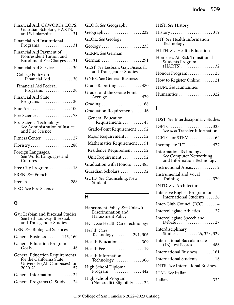<span id="page-4-0"></span>

| Financial Aid, CalWORKs, EOPS,<br>Guardian Scholars, HARTS,<br>and Scholarships 31 |
|------------------------------------------------------------------------------------|
| Financial Aid Institutional<br>Programs31                                          |
| Financial Aid Payment of<br>Nonresident Tuition and<br>Enrollment Fee Charges 31   |
| Financial Aid Services 30                                                          |
| College Policy on<br>Financial Aid 30                                              |
| Financial Aid Federal<br>Programs30                                                |
| <b>Financial Aid State</b><br>Programs30                                           |
| Fine Arts 100                                                                      |
| Fire Science 78                                                                    |
| Fire Science Technology.<br>See Administration of Justice<br>and Fire Science      |
| Fitness Center27                                                                   |
| Floristry280                                                                       |
| Foreign Languages.<br>See World Languages and<br>Cultures                          |
| Free City Program  18                                                              |
| FREN. See French                                                                   |
| French 288                                                                         |
| F SC. See Fire Science                                                             |

## **G**

| GEOG. See Geography                                          |
|--------------------------------------------------------------|
| Geography232                                                 |
| GEOL. See Geology                                            |
|                                                              |
| GERM. See German                                             |
| German 291                                                   |
| GLST. See Lesbian, Gay, Bisexual,<br>and Transgender Studies |
| GNBS. See General Business                                   |
| Grade Reporting480                                           |
| Grades and the Grade Point<br>Average 479                    |
| Grading 68                                                   |
| Graduation Requirements46                                    |
| <b>General Education</b><br>Requirements  48                 |
| Grade-Point Requirement 52                                   |
| Major Requirement 52                                         |
| Mathematics Requirement51                                    |
| Residence Requirement 52                                     |
| Unit Requirement 52                                          |
| Graduation with Honors 485                                   |
| Guardian Scholars 32                                         |
| GUID. See Counseling, New<br>Student                         |

### **H**

| Harassment Policy. See Unlawful<br>Discrimination and<br><b>Harassment Policy</b> |
|-----------------------------------------------------------------------------------|
| HCT. See Health Care Technology                                                   |
| Health Care<br>Technology291, 306                                                 |
| Health Education 309                                                              |
| Health Fee 19                                                                     |
| <b>Health Information</b><br>Technology306                                        |
| High School Diploma<br>Program 442                                                |
| High School Program<br>(Noncredit) Eligibility. 22)                               |

### HIST. *See* History

| $History \dots \dots \dots \dots \dots \dots \dots 319$        |
|----------------------------------------------------------------|
| HIT. See Health Information<br>Technology                      |
| HLTH. See Health Education                                     |
| Homeless At-Risk Transitional<br>Students Program<br>(HARTS)32 |
| Honors Program25                                               |
| How to Register Online21                                       |
| HUM. See Humanities                                            |
| Humanities 322                                                 |

## **I**

| IDST. See Interdisciplinary Studies                                                       |
|-------------------------------------------------------------------------------------------|
| IGETC 323<br>See also Transfer Information                                                |
| IGETC for STEM 64                                                                         |
| Incomplete "I/" 477                                                                       |
| Information Technology.<br>See Computer Networking<br>and Information Technology          |
| Instructional Areas2                                                                      |
| <b>Instrumental and Vocal</b><br>$Training \ldots \ldots \ldots \ldots \ldots \ldots 370$ |
| <b>INTD.</b> See Architecture                                                             |
| Intensive English Program for<br>International Students26                                 |
| Inter-Club Council (ICC)  4                                                               |
| Intercollegiate Athletics27                                                               |
| Intercollegiate Speech and<br>Debate 27                                                   |
| Interdisciplinary<br>Studies 26, 323, 329                                                 |
| <b>International Baccalaureate</b><br>(IB) Test Scores 486                                |
| International Business 161                                                                |
| International Students 16                                                                 |
| <b>INTR.</b> See International Business                                                   |
| ITAL. See Italian                                                                         |
|                                                                                           |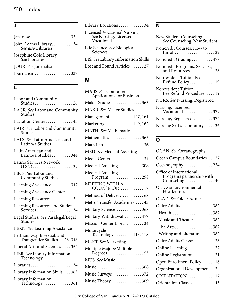| John Adams Library34<br>See also Libraries |
|--------------------------------------------|
| Josephine Cole Library.<br>See Libraries   |
| JOUR. See Journalism                       |
| $Journalign$ 337                           |
|                                            |

#### **L**

<span id="page-5-0"></span>**J**

| Labor and Community<br>Studies26                                    |
|---------------------------------------------------------------------|
| LACR. See Labor and Community<br>Studies                            |
| Lactation Center 43                                                 |
| LAIR. See Labor and Community<br><b>Studies</b>                     |
| LALS. See Latin American and<br>Latino/a Studies                    |
| Latin American and<br>Latino/a Studies 344                          |
| Latino Services Network                                             |
| LBCS. See Labor and<br><b>Community Studies</b>                     |
| Learning Assistance 347                                             |
| Learning Assistance Center  4                                       |
| Learning Resources 34                                               |
| Learning Resources and Student<br>Services 34                       |
| Legal Studies. See Paralegal/Legal<br>Studies                       |
| LERN. See Learning Assistance                                       |
| Lesbian, Gay, Bisexual, and<br>Transgender Studies26, 348           |
| Liberal Arts and Sciences  354                                      |
| LIBR. See Library Information<br>Technology                         |
| Libraries34                                                         |
| Library Information Skills. 363                                     |
| Library Information<br>$Technology \ldots \ldots \ldots \ldots 361$ |

Library Locations . . . . . . . . . . . . [34](#page-1-0) Licensed Vocational Nursing. *See* Nursing, Licensed Vocational Life Science. *See* Biological Sciences LIS. *See* Library Information Skills Lost and Found Articles . . . . . . [27](#page-4-0)

#### **M**

| MABS. See Computer<br>Applications for Business      |
|------------------------------------------------------|
| Maker Studies 363                                    |
| MAKR. See Maker Studies                              |
| Management 147, 161                                  |
| Marketing 149, 162                                   |
| MATH. See Mathematics                                |
| Mathematics 365                                      |
|                                                      |
| MED. See Medical Assisting                           |
| Media Center 34                                      |
| Medical Assisting 308                                |
| Medical Assisting<br>Program 298                     |
| MEETING WITH A<br>COUNSELOR 17                       |
| Method of Delivery 68                                |
| Metro Transfer Academies  43                         |
| Military Science 368                                 |
| Military Withdrawal 477                              |
| Mission Center Library 34                            |
| Motorcycle<br>Technology113, 118                     |
| MRKT. See Marketing                                  |
| Multiple Majors/Multiple<br>$Degrees$<br>$\ldots 53$ |
| MUS. See Music                                       |
|                                                      |
| Music Surveys372                                     |
| Music Theory 369                                     |
|                                                      |

#### **N**

| New Student Counseling.<br>See Counseling, New Student                              |
|-------------------------------------------------------------------------------------|
| Noncredit Courses, How to<br>$Enroll. \ldots \ldots \ldots \ldots \ldots \ldots 22$ |
| Noncredit Grading478                                                                |
| Noncredit Programs, Services,<br>and Resources. 26                                  |
| Nonresident Tuition Fee<br>Refund Policy19                                          |
| Nonresident Tuition<br>Fee Refund Procedure19                                       |
| NURS. See Nursing, Registered                                                       |
| Nursing, Licensed<br>Vocational379                                                  |
| Nursing, Registered 374                                                             |
| Nursing Skills Laboratory  36                                                       |

## **O**

| <b>OCAN</b> . See Oceanography                                        |
|-----------------------------------------------------------------------|
| Ocean Campus Boundaries 27                                            |
| Oceanography234                                                       |
| Office of International<br>Programs partnership with<br>Counseling 40 |
| O H. See Environmental<br>Horticulture                                |
| OLAD. See Older Adults                                                |
| Older Adults 382                                                      |
| Health 382                                                            |
| Music and Theater 382                                                 |
| The Arts. $\dots \dots \dots \dots \dots \dots 382$                   |
| Writing and Literature 382                                            |
| Older Adults Classes26                                                |
| Online Learning 27                                                    |
| Online Registration 21                                                |
| Open Enrollment Policy 16                                             |
| Organizational Development 24                                         |
| ORIENTATION 17                                                        |
| Orientation Classes  43                                               |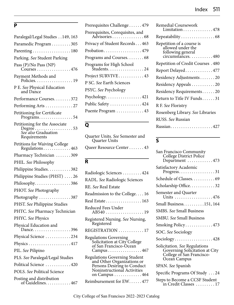#### <span id="page-6-0"></span>**P**

| Paralegal/Legal Studies 149, 163                                                  |
|-----------------------------------------------------------------------------------|
| Paramedic Program 305                                                             |
| Parenting 180                                                                     |
| Parking. See Student Parking                                                      |
| Pass (P)/No Pass (NP)<br>Courses 476                                              |
| Payment Methods and<br>Policies. 19                                               |
| P E. See Physical Education<br>and Dance                                          |
| Performance Courses372                                                            |
| Performing Arts 27                                                                |
| Petitioning for Certificate<br>$Programs. 54$                                     |
| Petitioning for the Associate<br>Degree 53<br>See also Graduation<br>Requirements |
| Petitions for Waiving College<br>Regulations 463                                  |
| Pharmacy Technician 309                                                           |
|                                                                                   |
| PHIL. See Philosophy                                                              |
| Philippine Studies. 382                                                           |
| Philippine Studies (PHST) 26                                                      |
| Philosophy386                                                                     |
| PHOT. See Photography                                                             |
|                                                                                   |
| Photography 387<br>PHST. See Philippine Studies                                   |
| PHTC. See Pharmacy Technician                                                     |
| PHYC. See Physics                                                                 |
| Physical Education and<br>Dance396                                                |
| Physical Science 234                                                              |
|                                                                                   |
| PIL. See Pilipino                                                                 |
| PLS. See Paralegal/Legal Studies                                                  |
| Political Science 420                                                             |
| POLS. See Political Science                                                       |

| Prerequisites Challenge479                        |
|---------------------------------------------------|
| Prerequisites, Corequisites, and<br>Advisories 68 |
| Privacy of Student Records463                     |
| Probation479                                      |
| Programs and Courses68                            |
| Programs for High School<br>Students24            |
| Project SURVIVE43                                 |
| P SC. See Earth Sciences                          |
| PSYC. See Psychology                              |
| $Psychology.$ 421                                 |
| Public Safety 424                                 |
| Puente Program  43                                |
|                                                   |

### **Q**

Quarter Units. *See* Semester and Quarter Units Queer Resource Center....... [43](#page-10-0)

### **R**

| Radiologic Sciences 424                                                                                                                                                     |
|-----------------------------------------------------------------------------------------------------------------------------------------------------------------------------|
| RADL. See Radiologic Sciences                                                                                                                                               |
| RE. See Real Estate                                                                                                                                                         |
| Readmission to the College16                                                                                                                                                |
| Real Estate 163                                                                                                                                                             |
| Reduced Fees Under<br>AB540 19                                                                                                                                              |
| Registered Nursing. See Nursing,<br>Registered                                                                                                                              |
| REGISTRATION 17                                                                                                                                                             |
| <b>Regulations Governing</b><br>Solicitation at City College<br>of San Francisco-Ocean<br>Campus 467                                                                        |
| <b>Regulations Governing Student</b><br>and Other Organizations or<br>Persons Desiring to Conduct<br>Noninstructional Activities<br>on Campus $\dots \dots \dots \dots 464$ |
| Reimbursement for EW477                                                                                                                                                     |

| <b>Remedial Coursework</b><br>Limitation 478                                              |
|-------------------------------------------------------------------------------------------|
| Repeatability 68                                                                          |
| Repetition of a course is<br>allowed under the<br>following general<br>circumstances. 480 |
| Repetition of Credit Courses . 480                                                        |
| Report Delayed477                                                                         |
| Residency Adjustments 20                                                                  |
| Residency Appeals 20                                                                      |
| Residency Requirements20                                                                  |
| Return to Title IV Funds31                                                                |
| R F. See Floristry                                                                        |
| Rosenberg Library. See Libraries                                                          |
| RUSS. See Russian                                                                         |
| Russian427                                                                                |
|                                                                                           |

## **S**

| San Francisco Community<br>College District Police<br>Department 473                                         |
|--------------------------------------------------------------------------------------------------------------|
| Satisfactory Academic<br>Progress31                                                                          |
| Schedule of Classes 69                                                                                       |
| Scholarship Office32                                                                                         |
| Semester and Quarter<br>Units 476                                                                            |
| Small Business. 151, 164                                                                                     |
| SMBS. See Small Business                                                                                     |
| SMBU. See Small Business                                                                                     |
| Smoking Policy473                                                                                            |
| SOC. See Sociology                                                                                           |
| Sociology428                                                                                                 |
| Solicitation. See Regulations<br>Governing Solicitation at City<br>College of San Francisco-<br>Ocean Campus |
| SPAN. See Spanish                                                                                            |
| Specific Programs Of Study  24                                                                               |
| Steps to Become a CCSF Student<br>in Credit Classes  17                                                      |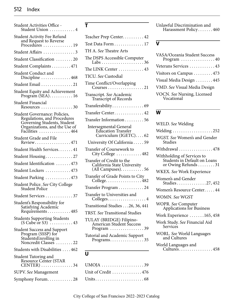### <span id="page-7-0"></span>512 Index

| Student Activities Office -<br>Student Union  4                                                                                                |
|------------------------------------------------------------------------------------------------------------------------------------------------|
| Student Activity Fee Refund                                                                                                                    |
| Student Affairs 3                                                                                                                              |
| Student Classification 20                                                                                                                      |
| Student Complaints  471                                                                                                                        |
| <b>Student Conduct and</b><br>Discipline 468                                                                                                   |
| Student Email 21                                                                                                                               |
| Student Equity and Achievement<br>Program (SEA)16                                                                                              |
| Student Financial<br>Resources 30                                                                                                              |
| Student Governance: Policies,<br>Regulations, and Procedures<br>Governing Students, Student<br>Organizations, and the Use of<br>Facilities 464 |
| Student Grade and File<br>Review471                                                                                                            |
| Student Health Services 41                                                                                                                     |
| Student Housing27                                                                                                                              |
| Student Identification 473                                                                                                                     |
| Student Lockers  473                                                                                                                           |
| Student Parking 473                                                                                                                            |
| Student Police. See City College<br><b>Student Police</b>                                                                                      |
| Student Services 37                                                                                                                            |
| Student's Responsibility for<br>Satisfying Academic<br>Requirements 485                                                                        |
| <b>Students Supporting Students</b><br>$(S \text{ Cube or } S3)$ 43                                                                            |
| <b>Student Success and Support</b><br>Program (SSSP) for<br>StudentsEnrolling in<br>Noncredit Classes 22                                       |
| Students with Disabilities  462                                                                                                                |
| Student Tutoring and<br>Resource Center (STAR<br>$CENTER$ ) 34                                                                                 |
| <b>SUPV.</b> See Management                                                                                                                    |
| Symphony Forum28                                                                                                                               |

# **T**

| Teacher Prep Center 42                                                                                  |
|---------------------------------------------------------------------------------------------------------|
| Test Data Form 17                                                                                       |
| TH A. See Theatre Arts                                                                                  |
| The DSPS Accessible Computer                                                                            |
| The LINK Center  43                                                                                     |
| TICU. See Custodial                                                                                     |
| Time Conflict/Overlapping<br>$\overline{.21}$<br>Courses                                                |
| Transcript. See Academic<br>Transcript of Records                                                       |
| Transferability69                                                                                       |
| Transfer Center42                                                                                       |
| Transfer Information 56                                                                                 |
| Intersegmental General<br>Education Transfer<br>Curriculum (IGETC)62                                    |
| University Of California59                                                                              |
| Transfer of Coursework to<br>City College 482                                                           |
| Transfer of Credit to the<br>California State University<br>(All Campuses). 56                          |
| Transfer of Grade Points to City<br>College. 482                                                        |
| Transfer Program 24                                                                                     |
| Transfer to Universities and<br>Colleges<br>$\ldots$ 4                                                  |
| Transitional Studies 26, 36, 441                                                                        |
| TRST. See Transitional Studies                                                                          |
| TULAY (BRIDGE) Filipino-<br>American Student Success<br>Program $\ldots \ldots \ldots \ldots \ldots$ 39 |
| Tutorial and Academic Support                                                                           |
|                                                                                                         |

## **U**

| UMOJA $\ldots \ldots \ldots \ldots \ldots \ldots 39$ |  |
|------------------------------------------------------|--|
| Unit of Credit 476                                   |  |
|                                                      |  |

Unlawful Discrimination and Harassment Policy. . . . . . . [460](#page-1-0)

#### **V**

| VASA/Oceania Student Success<br>Program $\ldots \ldots \ldots \ldots 40$ |
|--------------------------------------------------------------------------|
| Veterans Services  43                                                    |
| Visitors on Campus 473                                                   |
| Visual Media Design 445                                                  |
| VMD. See Visual Media Design                                             |
| VOCN. See Nursing, Licensed<br>Vocational                                |

### **W**

| WELD. See Welding                                                                 |
|-----------------------------------------------------------------------------------|
| Welding 252                                                                       |
| WGST. See Women's and Gender<br>Studies                                           |
| Withdrawal 478                                                                    |
| Withholding of Services to<br>Students in Default on Loans<br>or Owing Refunds 31 |
| WKEX. See Work Experience                                                         |
| Women's and Gender<br>Studies27, 452                                              |
| Women's Resource Center 44                                                        |
| <b>WOMN.</b> See WGST                                                             |
| WOPR. See Computer<br>Applications for Business                                   |
| Work Experience 165, 458                                                          |
| Work Study. See Financial Aid<br>Services                                         |
| WORL. See World Languages<br>and Cultures                                         |
| World Languages and<br>Cultures458                                                |
|                                                                                   |